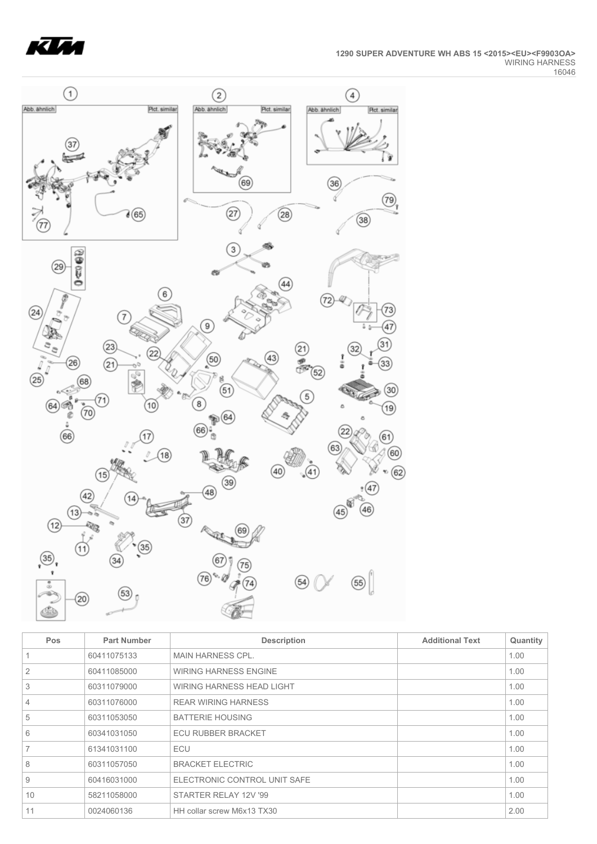



| <b>Pos</b> | <b>Part Number</b> | <b>Description</b>           | <b>Additional Text</b> | Quantity |
|------------|--------------------|------------------------------|------------------------|----------|
|            | 60411075133        | <b>MAIN HARNESS CPL.</b>     |                        | 1.00     |
| 2          | 60411085000        | <b>WIRING HARNESS ENGINE</b> |                        | 1.00     |
| 3          | 60311079000        | WIRING HARNESS HEAD LIGHT    |                        | 1.00     |
| 4          | 60311076000        | <b>REAR WIRING HARNESS</b>   |                        | 1.00     |
| 5          | 60311053050        | <b>BATTERIE HOUSING</b>      |                        | 1.00     |
| 6          | 60341031050        | <b>ECU RUBBER BRACKET</b>    |                        | 1.00     |
|            | 61341031100        | ECU                          |                        | 1.00     |
| 8          | 60311057050        | <b>BRACKET ELECTRIC</b>      |                        | 1.00     |
| 9          | 60416031000        | ELECTRONIC CONTROL UNIT SAFE |                        | 1.00     |
| 10         | 58211058000        | STARTER RELAY 12V '99        |                        | 1.00     |
| 11         | 0024060136         | HH collar screw M6x13 TX30   |                        | 2.00     |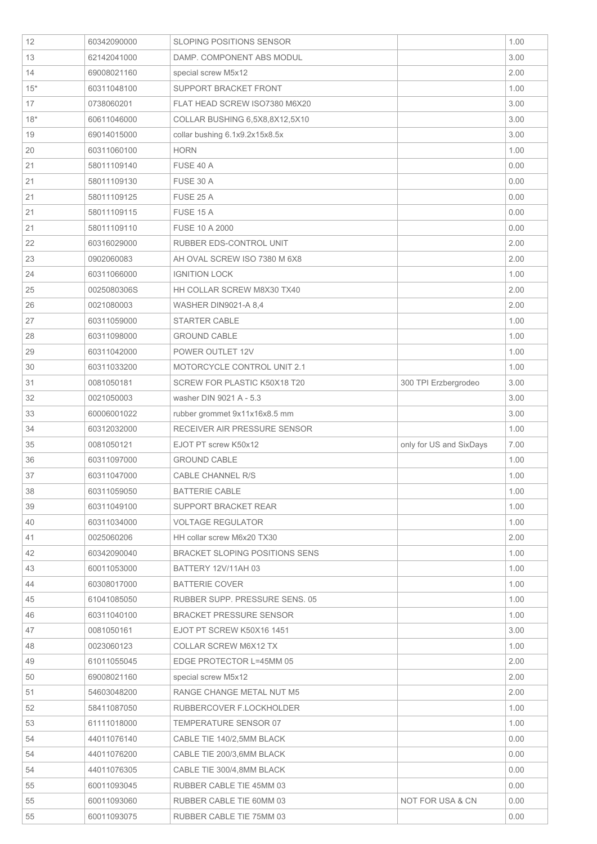| 12<br>60342090000<br>13<br>62142041000<br>14<br>69008021160<br>$15*$<br>60311048100 | <b>SLOPING POSITIONS SENSOR</b>       |                         |      |
|-------------------------------------------------------------------------------------|---------------------------------------|-------------------------|------|
|                                                                                     |                                       |                         | 1.00 |
|                                                                                     | DAMP. COMPONENT ABS MODUL             |                         | 3.00 |
|                                                                                     | special screw M5x12                   |                         | 2.00 |
|                                                                                     | SUPPORT BRACKET FRONT                 |                         | 1.00 |
| 17<br>0738060201                                                                    | FLAT HEAD SCREW ISO7380 M6X20         |                         | 3.00 |
| $18*$<br>60611046000                                                                | COLLAR BUSHING 6,5X8,8X12,5X10        |                         | 3.00 |
| 19<br>69014015000                                                                   | collar bushing 6.1x9.2x15x8.5x        |                         | 3.00 |
| 20<br>60311060100                                                                   | <b>HORN</b>                           |                         | 1.00 |
| 21<br>58011109140                                                                   | FUSE 40 A                             |                         | 0.00 |
| 21<br>58011109130                                                                   | FUSE 30 A                             |                         | 0.00 |
| 21<br>58011109125                                                                   | FUSE 25 A                             |                         | 0.00 |
| 21<br>58011109115                                                                   | FUSE 15 A                             |                         | 0.00 |
| 21<br>58011109110                                                                   | FUSE 10 A 2000                        |                         | 0.00 |
| 22<br>60316029000                                                                   | RUBBER EDS-CONTROL UNIT               |                         | 2.00 |
| 23<br>0902060083                                                                    | AH OVAL SCREW ISO 7380 M 6X8          |                         | 2.00 |
| 24<br>60311066000                                                                   | <b>IGNITION LOCK</b>                  |                         | 1.00 |
| 25<br>0025080306S                                                                   | HH COLLAR SCREW M8X30 TX40            |                         | 2.00 |
| 26<br>0021080003                                                                    | <b>WASHER DIN9021-A 8,4</b>           |                         | 2.00 |
| 27<br>60311059000                                                                   | STARTER CABLE                         |                         | 1.00 |
| 28<br>60311098000                                                                   | <b>GROUND CABLE</b>                   |                         | 1.00 |
| 29<br>60311042000                                                                   | POWER OUTLET 12V                      |                         | 1.00 |
| 30<br>60311033200                                                                   | MOTORCYCLE CONTROL UNIT 2.1           |                         | 1.00 |
| 31<br>0081050181                                                                    | SCREW FOR PLASTIC K50X18 T20          | 300 TPI Erzbergrodeo    | 3.00 |
| 32<br>0021050003                                                                    | washer DIN 9021 A - 5.3               |                         | 3.00 |
|                                                                                     | rubber grommet 9x11x16x8.5 mm         |                         | 3.00 |
| 33<br>60006001022                                                                   |                                       |                         |      |
| 34<br>60312032000                                                                   | RECEIVER AIR PRESSURE SENSOR          |                         | 1.00 |
| 0081050121<br>35                                                                    | EJOT PT screw K50x12                  | only for US and SixDays | 7.00 |
| 36<br>60311097000                                                                   | <b>GROUND CABLE</b>                   |                         | 1.00 |
| 37<br>60311047000                                                                   | CABLE CHANNEL R/S                     |                         | 1.00 |
| 38<br>60311059050                                                                   | <b>BATTERIE CABLE</b>                 |                         | 1.00 |
| 39<br>60311049100                                                                   | SUPPORT BRACKET REAR                  |                         | 1.00 |
| 40<br>60311034000                                                                   | <b>VOLTAGE REGULATOR</b>              |                         | 1.00 |
| 41<br>0025060206                                                                    | HH collar screw M6x20 TX30            |                         | 2.00 |
| 42<br>60342090040                                                                   | <b>BRACKET SLOPING POSITIONS SENS</b> |                         | 1.00 |
| 43<br>60011053000                                                                   | <b>BATTERY 12V/11AH03</b>             |                         | 1.00 |
| 44<br>60308017000                                                                   | <b>BATTERIE COVER</b>                 |                         | 1.00 |
| 45<br>61041085050                                                                   | RUBBER SUPP. PRESSURE SENS. 05        |                         | 1.00 |
| 46<br>60311040100                                                                   | <b>BRACKET PRESSURE SENSOR</b>        |                         | 1.00 |
| 47<br>0081050161                                                                    | EJOT PT SCREW K50X16 1451             |                         | 3.00 |
| 48<br>0023060123                                                                    | COLLAR SCREW M6X12 TX                 |                         | 1.00 |
| 49<br>61011055045                                                                   | EDGE PROTECTOR L=45MM 05              |                         | 2.00 |
| 50<br>69008021160                                                                   | special screw M5x12                   |                         | 2.00 |
| 51<br>54603048200                                                                   | RANGE CHANGE METAL NUT M5             |                         | 2.00 |
| 52<br>58411087050                                                                   | RUBBERCOVER F.LOCKHOLDER              |                         | 1.00 |
| 53<br>61111018000                                                                   | TEMPERATURE SENSOR 07                 |                         | 1.00 |
| 54<br>44011076140                                                                   | CABLE TIE 140/2,5MM BLACK             |                         | 0.00 |
| 54<br>44011076200                                                                   | CABLE TIE 200/3,6MM BLACK             |                         | 0.00 |
| 54<br>44011076305                                                                   | CABLE TIE 300/4,8MM BLACK             |                         | 0.00 |
| 55<br>60011093045                                                                   | RUBBER CABLE TIE 45MM 03              |                         | 0.00 |
| 55<br>60011093060                                                                   | RUBBER CABLE TIE 60MM 03              | NOT FOR USA & CN        | 0.00 |